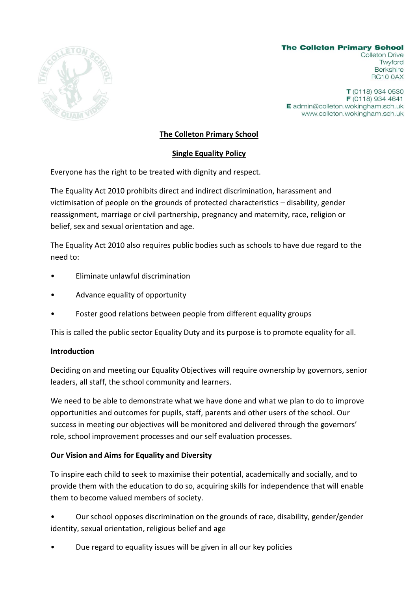

**The Colleton Primary School Colleton Drive** Twyford **Berkshire RG10 0AX** 

T (0118) 934 0530 F (0118) 934 4641 E admin@colleton.wokingham.sch.uk www.colleton.wokingham.sch.uk

## **The Colleton Primary School**

## **Single Equality Policy**

Everyone has the right to be treated with dignity and respect.

The Equality Act 2010 prohibits direct and indirect discrimination, harassment and victimisation of people on the grounds of protected characteristics – disability, gender reassignment, marriage or civil partnership, pregnancy and maternity, race, religion or belief, sex and sexual orientation and age.

The Equality Act 2010 also requires public bodies such as schools to have due regard to the need to:

- Eliminate unlawful discrimination
- Advance equality of opportunity
- Foster good relations between people from different equality groups

This is called the public sector Equality Duty and its purpose is to promote equality for all.

## **Introduction**

Deciding on and meeting our Equality Objectives will require ownership by governors, senior leaders, all staff, the school community and learners.

We need to be able to demonstrate what we have done and what we plan to do to improve opportunities and outcomes for pupils, staff, parents and other users of the school. Our success in meeting our objectives will be monitored and delivered through the governors' role, school improvement processes and our self evaluation processes.

## **Our Vision and Aims for Equality and Diversity**

To inspire each child to seek to maximise their potential, academically and socially, and to provide them with the education to do so, acquiring skills for independence that will enable them to become valued members of society.

• Our school opposes discrimination on the grounds of race, disability, gender/gender identity, sexual orientation, religious belief and age

• Due regard to equality issues will be given in all our key policies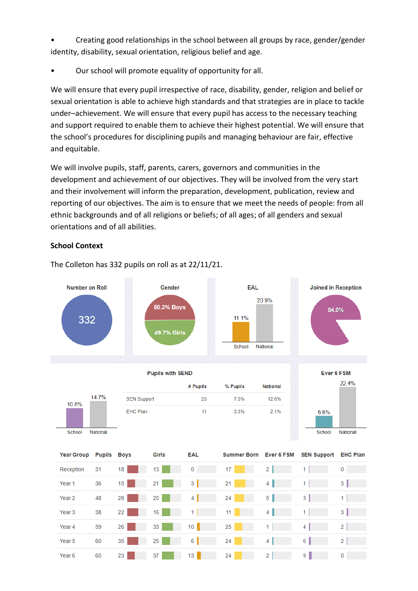• Creating good relationships in the school between all groups by race, gender/gender identity, disability, sexual orientation, religious belief and age.

• Our school will promote equality of opportunity for all.

We will ensure that every pupil irrespective of race, disability, gender, religion and belief or sexual orientation is able to achieve high standards and that strategies are in place to tackle under–achievement. We will ensure that every pupil has access to the necessary teaching and support required to enable them to achieve their highest potential. We will ensure that the school's procedures for disciplining pupils and managing behaviour are fair, effective and equitable.

We will involve pupils, staff, parents, carers, governors and communities in the development and achievement of our objectives. They will be involved from the very start and their involvement will inform the preparation, development, publication, review and reporting of our objectives. The aim is to ensure that we meet the needs of people: from all ethnic backgrounds and of all religions or beliefs; of all ages; of all genders and sexual orientations and of all abilities.

### **School Context**

**Number on Roll** Gender EAL **Joined in Reception** 20.9% 50.3% Boys 84.0% 332 11.1% 49.7% Girls School National Ever 6 FSM **Pupils with SEND** 22.4% # Pupils % Pupils **National** 14.7% **SEN Support** 25 7.5% 12.6% 10.8% **EHC Plan**  $11$ 3.3%  $2.1%$ 6.6% School National School National **Year Group Pupils Boys** Girls **EAL Summer Born Ever 6 FSM SEN Support EHC Plan** Reception 31 18 13  $\overline{0}$ 17  $2<sup>1</sup>$  $1<sup>1</sup>$  $\overline{0}$  $1 \vert \vert$ Year<sub>1</sub> 36  $15<sub>15</sub>$ 21  $3<sup>1</sup>$  $21$  $4$  $3<sup>1</sup>$  $4<sup>1</sup>$  $5<sub>1</sub>$  $3<sup>1</sup>$ Year<sub>2</sub> 48 28 20 24  $1<sup>1</sup>$ 22  $1$  $11$  $4$  $1$  $\overline{\mathbf{3}}$ Year<sub>3</sub> 38  $16$  $10$  $1$  $4 \mid$  $2$ Year 4 59 26  $33$ 25 35 25  $6 \mid$ 24  $4$  $6$  $2$ Year 5 60 Year 6 60 23  $37$  $13$  $24 - 1$  $2 \mid$  $9$  $\mathbf{0}$  and  $\mathbf{0}$ 

The Colleton has 332 pupils on roll as at 22/11/21.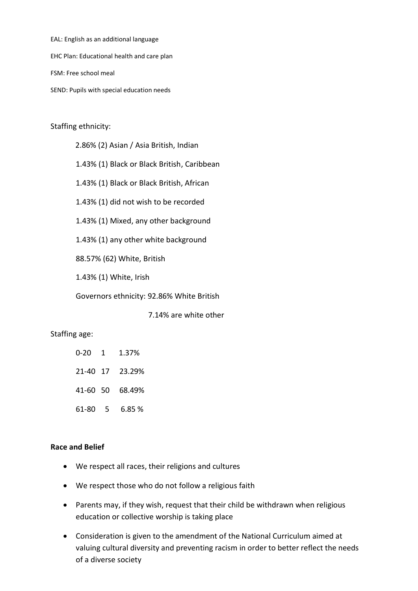EAL: English as an additional language

EHC Plan: Educational health and care plan

FSM: Free school meal

SEND: Pupils with special education needs

Staffing ethnicity:

 2.86% (2) Asian / Asia British, Indian 1.43% (1) Black or Black British, Caribbean

1.43% (1) Black or Black British, African

1.43% (1) did not wish to be recorded

1.43% (1) Mixed, any other background

1.43% (1) any other white background

88.57% (62) White, British

1.43% (1) White, Irish

Governors ethnicity: 92.86% White British

7.14% are white other

#### Staffing age:

- 0-20 1 1.37%
- 21-40 17 23.29%
- 41-60 50 68.49%
- 61-80 5 6.85 %

#### **Race and Belief**

- We respect all races, their religions and cultures
- We respect those who do not follow a religious faith
- Parents may, if they wish, request that their child be withdrawn when religious education or collective worship is taking place
- Consideration is given to the amendment of the National Curriculum aimed at valuing cultural diversity and preventing racism in order to better reflect the needs of a diverse society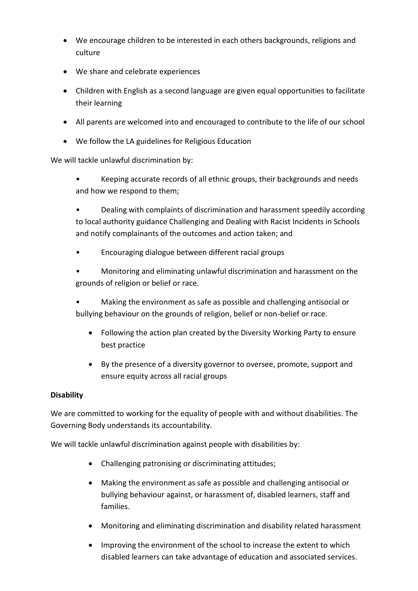- We encourage children to be interested in each others backgrounds, religions and culture
- We share and celebrate experiences
- Children with English as a second language are given equal opportunities to facilitate their learning
- All parents are welcomed into and encouraged to contribute to the life of our school
- We follow the LA guidelines for Religious Education

We will tackle unlawful discrimination by:

• Keeping accurate records of all ethnic groups, their backgrounds and needs and how we respond to them;

• Dealing with complaints of discrimination and harassment speedily according to local authority guidance Challenging and Dealing with Racist Incidents in Schools and notify complainants of the outcomes and action taken; and

• Encouraging dialogue between different racial groups

• Monitoring and eliminating unlawful discrimination and harassment on the grounds of religion or belief or race.

• Making the environment as safe as possible and challenging antisocial or bullying behaviour on the grounds of religion, belief or non-belief or race.

- Following the action plan created by the Diversity Working Party to ensure best practice
- By the presence of a diversity governor to oversee, promote, support and ensure equity across all racial groups

# **Disability**

We are committed to working for the equality of people with and without disabilities. The Governing Body understands its accountability.

We will tackle unlawful discrimination against people with disabilities by:

- Challenging patronising or discriminating attitudes;
- Making the environment as safe as possible and challenging antisocial or bullying behaviour against, or harassment of, disabled learners, staff and families.
- Monitoring and eliminating discrimination and disability related harassment
- Improving the environment of the school to increase the extent to which disabled learners can take advantage of education and associated services.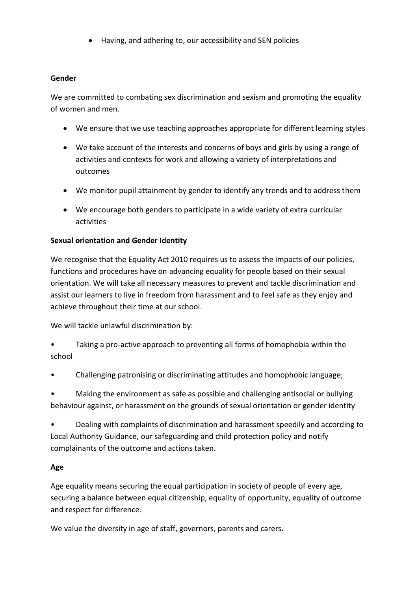• Having, and adhering to, our accessibility and SEN policies

## **Gender**

We are committed to combating sex discrimination and sexism and promoting the equality of women and men.

- We ensure that we use teaching approaches appropriate for different learning styles
- We take account of the interests and concerns of boys and girls by using a range of activities and contexts for work and allowing a variety of interpretations and outcomes
- We monitor pupil attainment by gender to identify any trends and to address them
- We encourage both genders to participate in a wide variety of extra curricular activities

## **Sexual orientation and Gender Identity**

We recognise that the Equality Act 2010 requires us to assess the impacts of our policies, functions and procedures have on advancing equality for people based on their sexual orientation. We will take all necessary measures to prevent and tackle discrimination and assist our learners to live in freedom from harassment and to feel safe as they enjoy and achieve throughout their time at our school.

We will tackle unlawful discrimination by:

- Taking a pro-active approach to preventing all forms of homophobia within the school
- Challenging patronising or discriminating attitudes and homophobic language;

• Making the environment as safe as possible and challenging antisocial or bullying behaviour against, or harassment on the grounds of sexual orientation or gender identity

• Dealing with complaints of discrimination and harassment speedily and according to Local Authority Guidance, our safeguarding and child protection policy and notify complainants of the outcome and actions taken.

# **Age**

Age equality means securing the equal participation in society of people of every age, securing a balance between equal citizenship, equality of opportunity, equality of outcome and respect for difference.

We value the diversity in age of staff, governors, parents and carers.